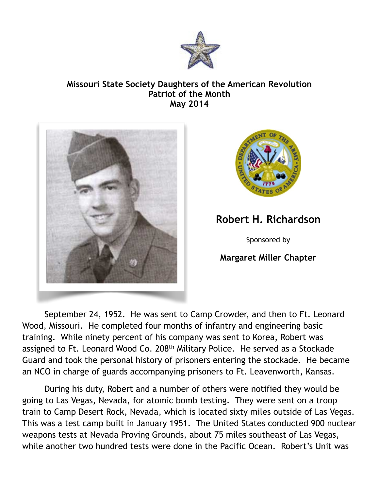

## **Missouri State Society Daughters of the American Revolution Patriot of the Month May 2014**





## **Robert H. Richardson**

Sponsored by

## **Margaret Miller Chapter**

 September 24, 1952. He was sent to Camp Crowder, and then to Ft. Leonard Wood, Missouri. He completed four months of infantry and engineering basic training. While ninety percent of his company was sent to Korea, Robert was assigned to Ft. Leonard Wood Co. 208<sup>th</sup> Military Police. He served as a Stockade Guard and took the personal history of prisoners entering the stockade. He became an NCO in charge of guards accompanying prisoners to Ft. Leavenworth, Kansas.

 During his duty, Robert and a number of others were notified they would be going to Las Vegas, Nevada, for atomic bomb testing. They were sent on a troop train to Camp Desert Rock, Nevada, which is located sixty miles outside of Las Vegas. This was a test camp built in January 1951. The United States conducted 900 nuclear weapons tests at Nevada Proving Grounds, about 75 miles southeast of Las Vegas, while another two hundred tests were done in the Pacific Ocean. Robert's Unit was